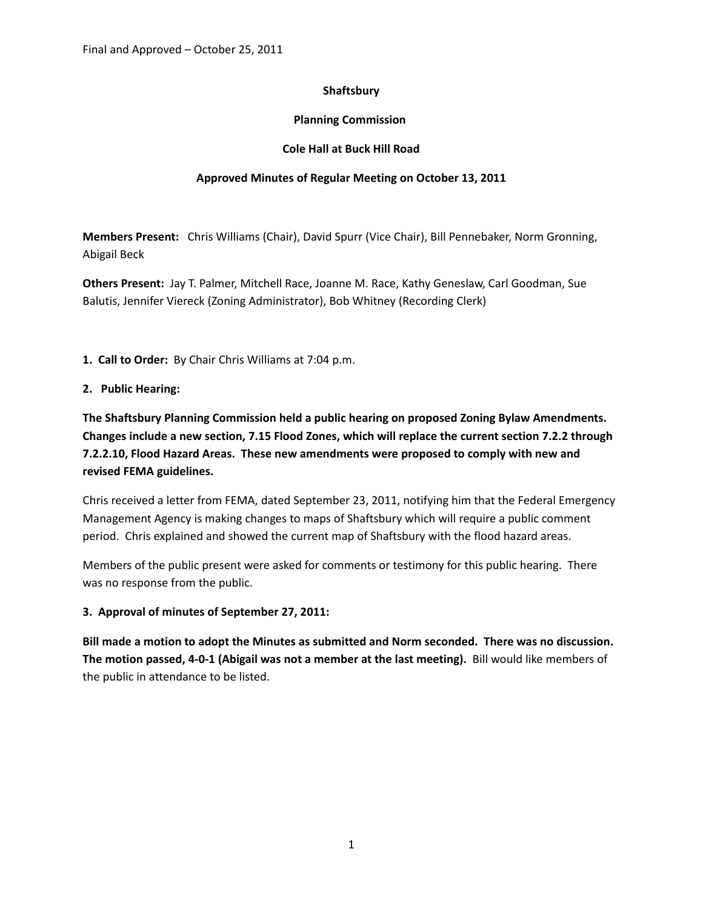# **Shaftsbury**

# **Planning Commission**

### **Cole Hall at Buck Hill Road**

### **Approved Minutes of Regular Meeting on October 13, 2011**

**Members Present:** Chris Williams (Chair), David Spurr (Vice Chair), Bill Pennebaker, Norm Gronning, Abigail Beck

**Others Present:** Jay T. Palmer, Mitchell Race, Joanne M. Race, Kathy Geneslaw, Carl Goodman, Sue Balutis, Jennifer Viereck (Zoning Administrator), Bob Whitney (Recording Clerk)

**1. Call to Order:** By Chair Chris Williams at 7:04 p.m.

#### **2. Public Hearing:**

**The Shaftsbury Planning Commission held a public hearing on proposed Zoning Bylaw Amendments. Changes include a new section, 7.15 Flood Zones, which will replace the current section 7.2.2 through 7.2.2.10, Flood Hazard Areas. These new amendments were proposed to comply with new and revised FEMA guidelines.**

Chris received a letter from FEMA, dated September 23, 2011, notifying him that the Federal Emergency Management Agency is making changes to maps of Shaftsbury which will require a public comment period. Chris explained and showed the current map of Shaftsbury with the flood hazard areas.

Members of the public present were asked for comments or testimony for this public hearing. There was no response from the public.

#### **3. Approval of minutes of September 27, 2011:**

**Bill made a motion to adopt the Minutes as submitted and Norm seconded. There was no discussion.** The motion passed, 4-0-1 (Abigail was not a member at the last meeting). Bill would like members of the public in attendance to be listed.